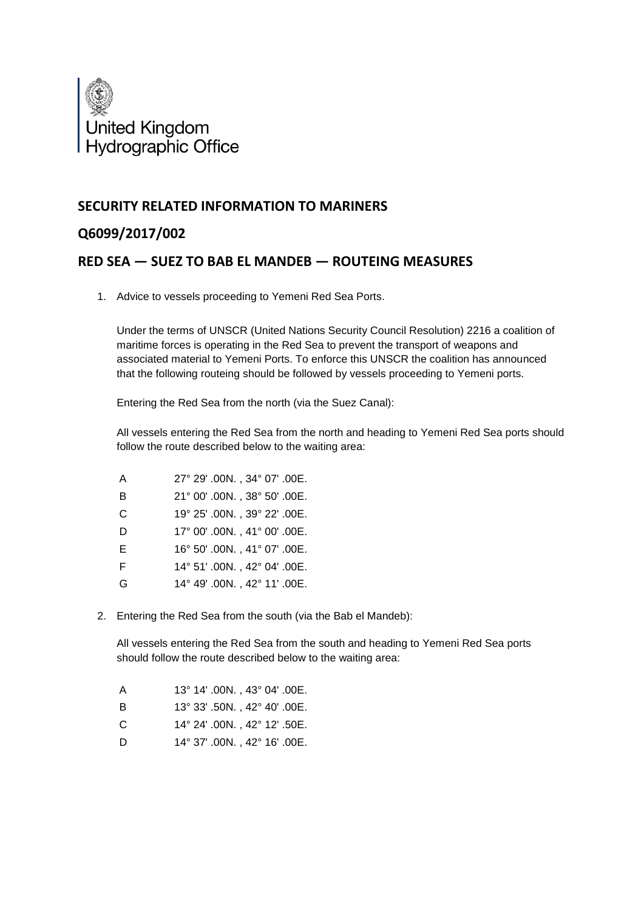

## **SECURITY RELATED INFORMATION TO MARINERS**

## **Q6099/2017/002**

## **RED SEA — SUEZ TO BAB EL MANDEB — ROUTEING MEASURES**

1. Advice to vessels proceeding to Yemeni Red Sea Ports.

Under the terms of UNSCR (United Nations Security Council Resolution) 2216 a coalition of maritime forces is operating in the Red Sea to prevent the transport of weapons and associated material to Yemeni Ports. To enforce this UNSCR the coalition has announced that the following routeing should be followed by vessels proceeding to Yemeni ports.

Entering the Red Sea from the north (via the Suez Canal):

All vessels entering the Red Sea from the north and heading to Yemeni Red Sea ports should follow the route described below to the waiting area:

| A | 27° 29' .00N., 34° 07' .00E. |
|---|------------------------------|
| B | 21° 00' .00N., 38° 50' .00E. |
| C | 19° 25' .00N., 39° 22' .00E. |
| D | 17° 00' .00N., 41° 00' .00E. |
| Е | 16° 50' .00N., 41° 07' .00E. |
| E | 14° 51' .00N., 42° 04' .00E. |
| G | 14° 49' .00N., 42° 11' .00E. |

2. Entering the Red Sea from the south (via the Bab el Mandeb):

All vessels entering the Red Sea from the south and heading to Yemeni Red Sea ports should follow the route described below to the waiting area:

| A | $13^{\circ}$ 14' .00N., 43 $^{\circ}$ 04' .00E. |
|---|-------------------------------------------------|
| в | $13^{\circ}$ 33' .50N., 42 $^{\circ}$ 40' .00E. |
| C | $14^{\circ}$ 24' .00N., 42 $^{\circ}$ 12' .50E. |
|   |                                                 |

D 14° 37' .00N. , 42° 16' .00E.